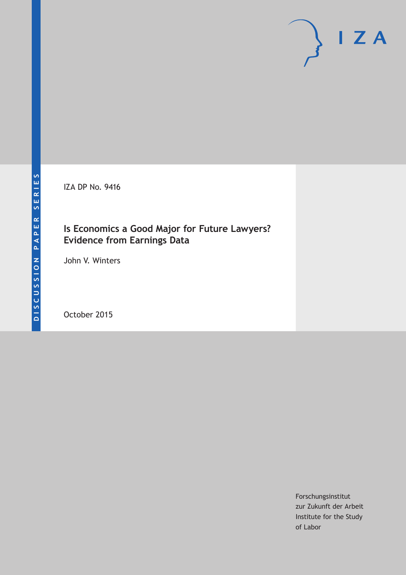IZA DP No. 9416

## **Is Economics a Good Major for Future Lawyers? Evidence from Earnings Data**

John V. Winters

October 2015

Forschungsinstitut zur Zukunft der Arbeit Institute for the Study of Labor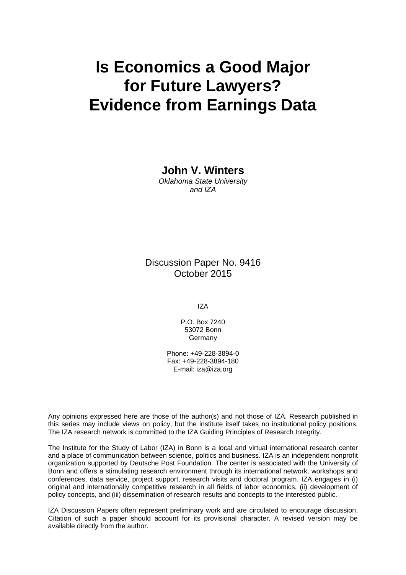# **Is Economics a Good Major for Future Lawyers? Evidence from Earnings Data**

**John V. Winters** 

*Oklahoma State University and IZA* 

Discussion Paper No. 9416 October 2015

IZA

P.O. Box 7240 53072 Bonn Germany

Phone: +49-228-3894-0 Fax: +49-228-3894-180 E-mail: iza@iza.org

Any opinions expressed here are those of the author(s) and not those of IZA. Research published in this series may include views on policy, but the institute itself takes no institutional policy positions. The IZA research network is committed to the IZA Guiding Principles of Research Integrity.

The Institute for the Study of Labor (IZA) in Bonn is a local and virtual international research center and a place of communication between science, politics and business. IZA is an independent nonprofit organization supported by Deutsche Post Foundation. The center is associated with the University of Bonn and offers a stimulating research environment through its international network, workshops and conferences, data service, project support, research visits and doctoral program. IZA engages in (i) original and internationally competitive research in all fields of labor economics, (ii) development of policy concepts, and (iii) dissemination of research results and concepts to the interested public.

IZA Discussion Papers often represent preliminary work and are circulated to encourage discussion. Citation of such a paper should account for its provisional character. A revised version may be available directly from the author.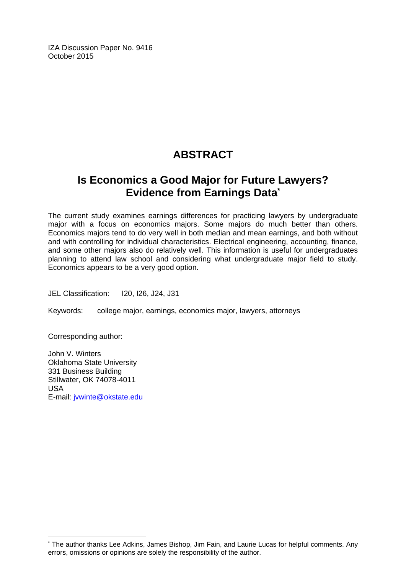IZA Discussion Paper No. 9416 October 2015

## **ABSTRACT**

## **Is Economics a Good Major for Future Lawyers? Evidence from Earnings Data\***

The current study examines earnings differences for practicing lawyers by undergraduate major with a focus on economics majors. Some majors do much better than others. Economics majors tend to do very well in both median and mean earnings, and both without and with controlling for individual characteristics. Electrical engineering, accounting, finance, and some other majors also do relatively well. This information is useful for undergraduates planning to attend law school and considering what undergraduate major field to study. Economics appears to be a very good option.

JEL Classification: I20, I26, J24, J31

Keywords: college major, earnings, economics major, lawyers, attorneys

Corresponding author:

 $\overline{a}$ 

John V. Winters Oklahoma State University 331 Business Building Stillwater, OK 74078-4011 USA E-mail: jvwinte@okstate.edu

<sup>\*</sup> The author thanks Lee Adkins, James Bishop, Jim Fain, and Laurie Lucas for helpful comments. Any errors, omissions or opinions are solely the responsibility of the author.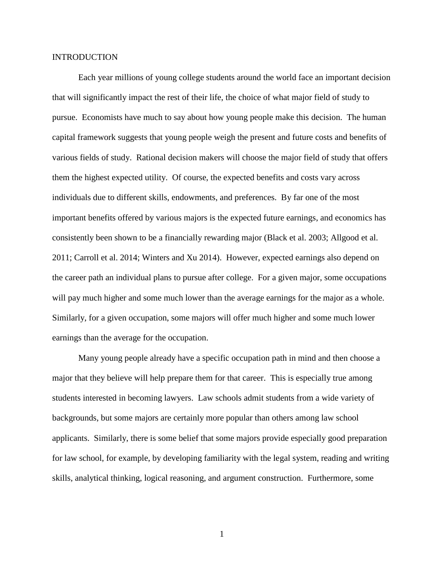### **INTRODUCTION**

Each year millions of young college students around the world face an important decision that will significantly impact the rest of their life, the choice of what major field of study to pursue. Economists have much to say about how young people make this decision. The human capital framework suggests that young people weigh the present and future costs and benefits of various fields of study. Rational decision makers will choose the major field of study that offers them the highest expected utility. Of course, the expected benefits and costs vary across individuals due to different skills, endowments, and preferences. By far one of the most important benefits offered by various majors is the expected future earnings, and economics has consistently been shown to be a financially rewarding major (Black et al. 2003; Allgood et al. 2011; Carroll et al. 2014; Winters and Xu 2014). However, expected earnings also depend on the career path an individual plans to pursue after college. For a given major, some occupations will pay much higher and some much lower than the average earnings for the major as a whole. Similarly, for a given occupation, some majors will offer much higher and some much lower earnings than the average for the occupation.

Many young people already have a specific occupation path in mind and then choose a major that they believe will help prepare them for that career. This is especially true among students interested in becoming lawyers. Law schools admit students from a wide variety of backgrounds, but some majors are certainly more popular than others among law school applicants. Similarly, there is some belief that some majors provide especially good preparation for law school, for example, by developing familiarity with the legal system, reading and writing skills, analytical thinking, logical reasoning, and argument construction. Furthermore, some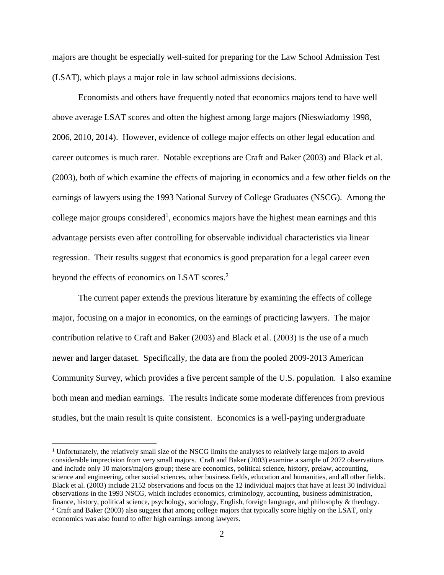majors are thought be especially well-suited for preparing for the Law School Admission Test (LSAT), which plays a major role in law school admissions decisions.

Economists and others have frequently noted that economics majors tend to have well above average LSAT scores and often the highest among large majors (Nieswiadomy 1998, 2006, 2010, 2014). However, evidence of college major effects on other legal education and career outcomes is much rarer. Notable exceptions are Craft and Baker (2003) and Black et al. (2003), both of which examine the effects of majoring in economics and a few other fields on the earnings of lawyers using the 1993 National Survey of College Graduates (NSCG). Among the college major groups considered<sup>1</sup>, economics majors have the highest mean earnings and this advantage persists even after controlling for observable individual characteristics via linear regression. Their results suggest that economics is good preparation for a legal career even beyond the effects of economics on LSAT scores.<sup>2</sup>

The current paper extends the previous literature by examining the effects of college major, focusing on a major in economics, on the earnings of practicing lawyers. The major contribution relative to Craft and Baker (2003) and Black et al. (2003) is the use of a much newer and larger dataset. Specifically, the data are from the pooled 2009-2013 American Community Survey, which provides a five percent sample of the U.S. population. I also examine both mean and median earnings. The results indicate some moderate differences from previous studies, but the main result is quite consistent. Economics is a well-paying undergraduate

 $\overline{a}$ 

<sup>&</sup>lt;sup>1</sup> Unfortunately, the relatively small size of the NSCG limits the analyses to relatively large majors to avoid considerable imprecision from very small majors. Craft and Baker (2003) examine a sample of 2072 observations and include only 10 majors/majors group; these are economics, political science, history, prelaw, accounting, science and engineering, other social sciences, other business fields, education and humanities, and all other fields. Black et al. (2003) include 2152 observations and focus on the 12 individual majors that have at least 30 individual observations in the 1993 NSCG, which includes economics, criminology, accounting, business administration, finance, history, political science, psychology, sociology, English, foreign language, and philosophy & theology. <sup>2</sup> Craft and Baker (2003) also suggest that among college majors that typically score highly on the LSAT, only economics was also found to offer high earnings among lawyers.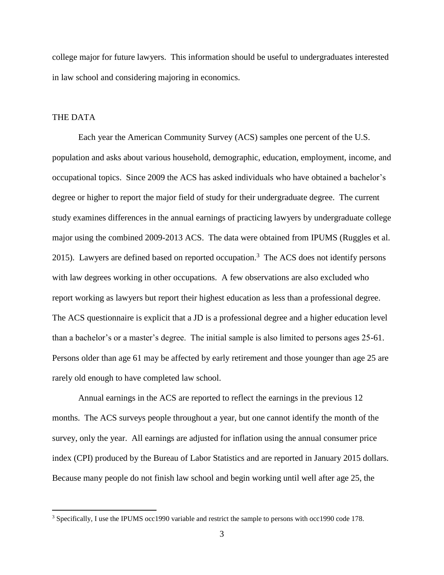college major for future lawyers. This information should be useful to undergraduates interested in law school and considering majoring in economics.

#### THE DATA

 $\overline{a}$ 

Each year the American Community Survey (ACS) samples one percent of the U.S. population and asks about various household, demographic, education, employment, income, and occupational topics. Since 2009 the ACS has asked individuals who have obtained a bachelor's degree or higher to report the major field of study for their undergraduate degree. The current study examines differences in the annual earnings of practicing lawyers by undergraduate college major using the combined 2009-2013 ACS. The data were obtained from IPUMS (Ruggles et al. 2015). Lawyers are defined based on reported occupation.<sup>3</sup> The ACS does not identify persons with law degrees working in other occupations. A few observations are also excluded who report working as lawyers but report their highest education as less than a professional degree. The ACS questionnaire is explicit that a JD is a professional degree and a higher education level than a bachelor's or a master's degree. The initial sample is also limited to persons ages 25-61. Persons older than age 61 may be affected by early retirement and those younger than age 25 are rarely old enough to have completed law school.

Annual earnings in the ACS are reported to reflect the earnings in the previous 12 months. The ACS surveys people throughout a year, but one cannot identify the month of the survey, only the year. All earnings are adjusted for inflation using the annual consumer price index (CPI) produced by the Bureau of Labor Statistics and are reported in January 2015 dollars. Because many people do not finish law school and begin working until well after age 25, the

<sup>3</sup> Specifically, I use the IPUMS occ1990 variable and restrict the sample to persons with occ1990 code 178.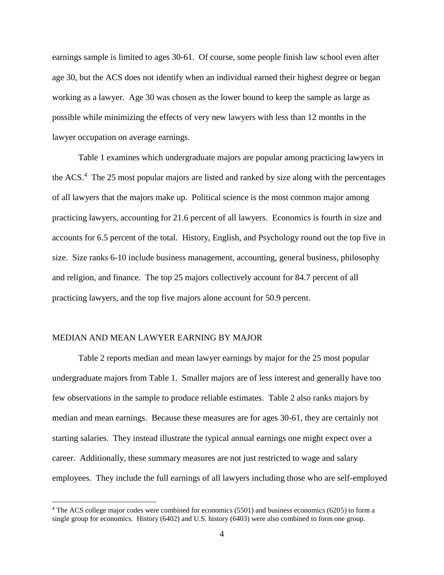earnings sample is limited to ages 30-61. Of course, some people finish law school even after age 30, but the ACS does not identify when an individual earned their highest degree or began working as a lawyer. Age 30 was chosen as the lower bound to keep the sample as large as possible while minimizing the effects of very new lawyers with less than 12 months in the lawyer occupation on average earnings.

Table 1 examines which undergraduate majors are popular among practicing lawyers in the ACS.<sup>4</sup> The 25 most popular majors are listed and ranked by size along with the percentages of all lawyers that the majors make up. Political science is the most common major among practicing lawyers, accounting for 21.6 percent of all lawyers. Economics is fourth in size and accounts for 6.5 percent of the total. History, English, and Psychology round out the top five in size. Size ranks 6-10 include business management, accounting, general business, philosophy and religion, and finance. The top 25 majors collectively account for 84.7 percent of all practicing lawyers, and the top five majors alone account for 50.9 percent.

#### MEDIAN AND MEAN LAWYER EARNING BY MAJOR

 $\overline{a}$ 

Table 2 reports median and mean lawyer earnings by major for the 25 most popular undergraduate majors from Table 1. Smaller majors are of less interest and generally have too few observations in the sample to produce reliable estimates. Table 2 also ranks majors by median and mean earnings. Because these measures are for ages 30-61, they are certainly not starting salaries. They instead illustrate the typical annual earnings one might expect over a career. Additionally, these summary measures are not just restricted to wage and salary employees. They include the full earnings of all lawyers including those who are self-employed

<sup>4</sup> The ACS college major codes were combined for economics (5501) and business economics (6205) to form a single group for economics. History (6402) and U.S. history (6403) were also combined to form one group.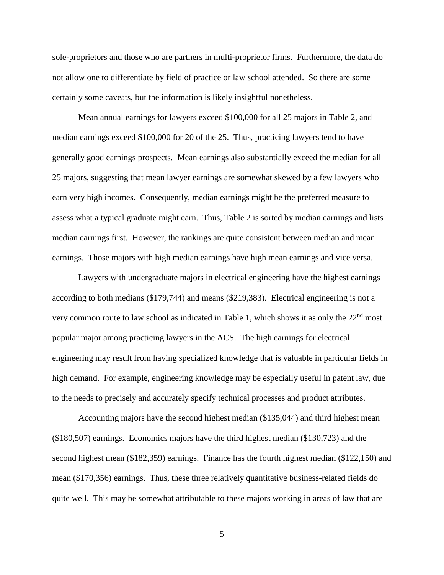sole-proprietors and those who are partners in multi-proprietor firms. Furthermore, the data do not allow one to differentiate by field of practice or law school attended. So there are some certainly some caveats, but the information is likely insightful nonetheless.

Mean annual earnings for lawyers exceed \$100,000 for all 25 majors in Table 2, and median earnings exceed \$100,000 for 20 of the 25. Thus, practicing lawyers tend to have generally good earnings prospects. Mean earnings also substantially exceed the median for all 25 majors, suggesting that mean lawyer earnings are somewhat skewed by a few lawyers who earn very high incomes. Consequently, median earnings might be the preferred measure to assess what a typical graduate might earn. Thus, Table 2 is sorted by median earnings and lists median earnings first. However, the rankings are quite consistent between median and mean earnings. Those majors with high median earnings have high mean earnings and vice versa.

Lawyers with undergraduate majors in electrical engineering have the highest earnings according to both medians (\$179,744) and means (\$219,383). Electrical engineering is not a very common route to law school as indicated in Table 1, which shows it as only the 22<sup>nd</sup> most popular major among practicing lawyers in the ACS. The high earnings for electrical engineering may result from having specialized knowledge that is valuable in particular fields in high demand. For example, engineering knowledge may be especially useful in patent law, due to the needs to precisely and accurately specify technical processes and product attributes.

Accounting majors have the second highest median (\$135,044) and third highest mean (\$180,507) earnings. Economics majors have the third highest median (\$130,723) and the second highest mean (\$182,359) earnings. Finance has the fourth highest median (\$122,150) and mean (\$170,356) earnings. Thus, these three relatively quantitative business-related fields do quite well. This may be somewhat attributable to these majors working in areas of law that are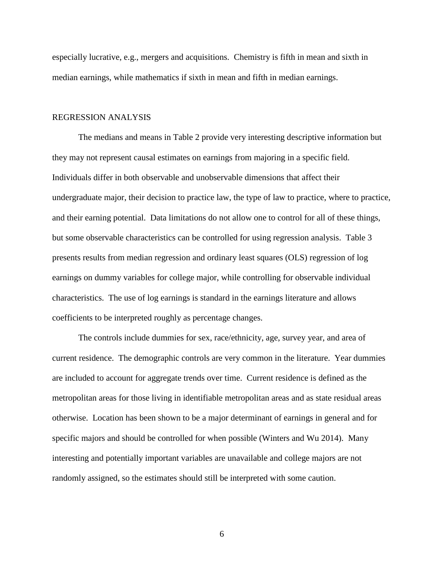especially lucrative, e.g., mergers and acquisitions. Chemistry is fifth in mean and sixth in median earnings, while mathematics if sixth in mean and fifth in median earnings.

#### REGRESSION ANALYSIS

The medians and means in Table 2 provide very interesting descriptive information but they may not represent causal estimates on earnings from majoring in a specific field. Individuals differ in both observable and unobservable dimensions that affect their undergraduate major, their decision to practice law, the type of law to practice, where to practice, and their earning potential. Data limitations do not allow one to control for all of these things, but some observable characteristics can be controlled for using regression analysis. Table 3 presents results from median regression and ordinary least squares (OLS) regression of log earnings on dummy variables for college major, while controlling for observable individual characteristics. The use of log earnings is standard in the earnings literature and allows coefficients to be interpreted roughly as percentage changes.

The controls include dummies for sex, race/ethnicity, age, survey year, and area of current residence. The demographic controls are very common in the literature. Year dummies are included to account for aggregate trends over time. Current residence is defined as the metropolitan areas for those living in identifiable metropolitan areas and as state residual areas otherwise. Location has been shown to be a major determinant of earnings in general and for specific majors and should be controlled for when possible (Winters and Wu 2014). Many interesting and potentially important variables are unavailable and college majors are not randomly assigned, so the estimates should still be interpreted with some caution.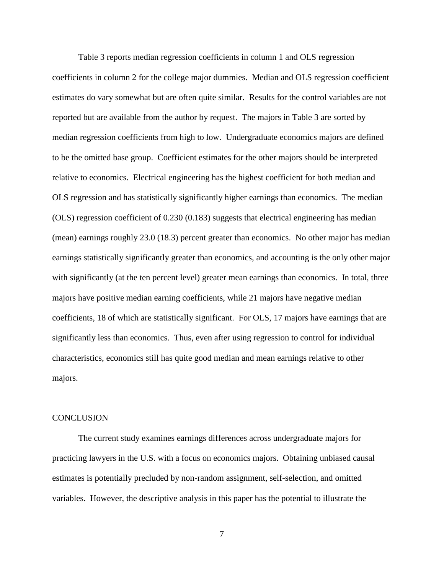Table 3 reports median regression coefficients in column 1 and OLS regression coefficients in column 2 for the college major dummies. Median and OLS regression coefficient estimates do vary somewhat but are often quite similar. Results for the control variables are not reported but are available from the author by request. The majors in Table 3 are sorted by median regression coefficients from high to low. Undergraduate economics majors are defined to be the omitted base group. Coefficient estimates for the other majors should be interpreted relative to economics. Electrical engineering has the highest coefficient for both median and OLS regression and has statistically significantly higher earnings than economics. The median (OLS) regression coefficient of 0.230 (0.183) suggests that electrical engineering has median (mean) earnings roughly 23.0 (18.3) percent greater than economics. No other major has median earnings statistically significantly greater than economics, and accounting is the only other major with significantly (at the ten percent level) greater mean earnings than economics. In total, three majors have positive median earning coefficients, while 21 majors have negative median coefficients, 18 of which are statistically significant. For OLS, 17 majors have earnings that are significantly less than economics. Thus, even after using regression to control for individual characteristics, economics still has quite good median and mean earnings relative to other majors.

#### **CONCLUSION**

The current study examines earnings differences across undergraduate majors for practicing lawyers in the U.S. with a focus on economics majors. Obtaining unbiased causal estimates is potentially precluded by non-random assignment, self-selection, and omitted variables. However, the descriptive analysis in this paper has the potential to illustrate the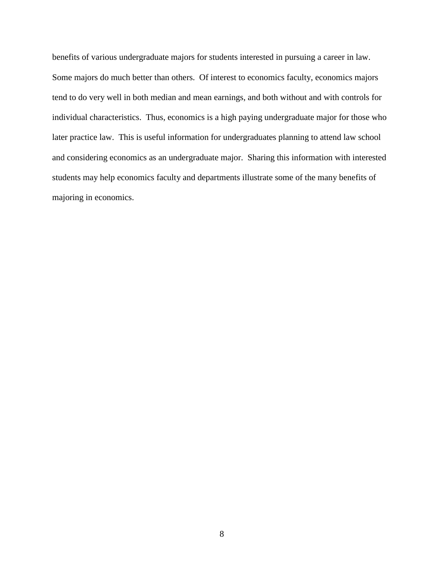benefits of various undergraduate majors for students interested in pursuing a career in law. Some majors do much better than others. Of interest to economics faculty, economics majors tend to do very well in both median and mean earnings, and both without and with controls for individual characteristics. Thus, economics is a high paying undergraduate major for those who later practice law. This is useful information for undergraduates planning to attend law school and considering economics as an undergraduate major. Sharing this information with interested students may help economics faculty and departments illustrate some of the many benefits of majoring in economics.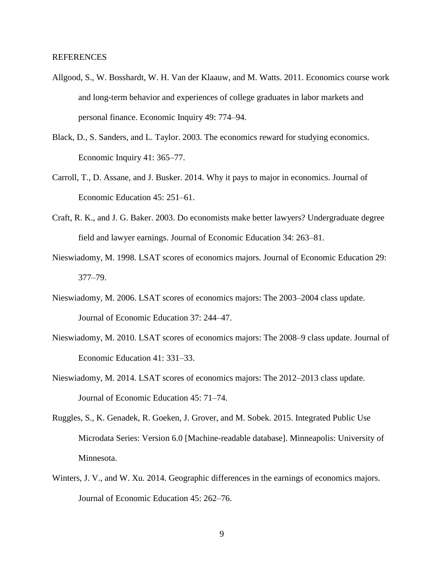#### REFERENCES

- Allgood, S., W. Bosshardt, W. H. Van der Klaauw, and M. Watts. 2011. Economics course work and long-term behavior and experiences of college graduates in labor markets and personal finance. Economic Inquiry 49: 774–94.
- Black, D., S. Sanders, and L. Taylor. 2003. The economics reward for studying economics. Economic Inquiry 41: 365–77.
- Carroll, T., D. Assane, and J. Busker. 2014. Why it pays to major in economics. Journal of Economic Education 45: 251–61.
- Craft, R. K., and J. G. Baker. 2003. Do economists make better lawyers? Undergraduate degree field and lawyer earnings. Journal of Economic Education 34: 263–81.
- Nieswiadomy, M. 1998. LSAT scores of economics majors. Journal of Economic Education 29: 377–79.
- Nieswiadomy, M. 2006. LSAT scores of economics majors: The 2003–2004 class update. Journal of Economic Education 37: 244–47.
- Nieswiadomy, M. 2010. LSAT scores of economics majors: The 2008–9 class update. Journal of Economic Education 41: 331–33.
- Nieswiadomy, M. 2014. LSAT scores of economics majors: The 2012–2013 class update. Journal of Economic Education 45: 71–74.
- Ruggles, S., K. Genadek, R. Goeken, J. Grover, and M. Sobek. 2015. Integrated Public Use Microdata Series: Version 6.0 [Machine-readable database]. Minneapolis: University of Minnesota.
- Winters, J. V., and W. Xu. 2014. Geographic differences in the earnings of economics majors. Journal of Economic Education 45: 262–76.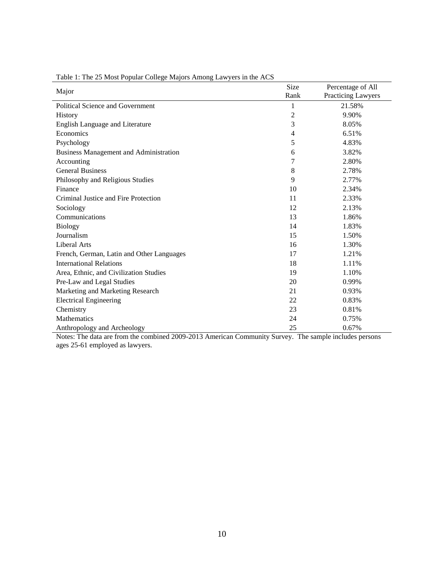| Major                                         | Size           | Percentage of All  |  |
|-----------------------------------------------|----------------|--------------------|--|
|                                               | Rank           | Practicing Lawyers |  |
| <b>Political Science and Government</b>       | 1              | 21.58%             |  |
| History                                       | $\overline{c}$ | 9.90%              |  |
| English Language and Literature               | 3              | 8.05%              |  |
| Economics                                     | 4              | 6.51%              |  |
| Psychology                                    | 5              | 4.83%              |  |
| <b>Business Management and Administration</b> | 6              | 3.82%              |  |
| Accounting                                    | 7              | 2.80%              |  |
| <b>General Business</b>                       | 8              | 2.78%              |  |
| Philosophy and Religious Studies              | 9              | 2.77%              |  |
| Finance                                       | 10             | 2.34%              |  |
| Criminal Justice and Fire Protection          | 11             | 2.33%              |  |
| Sociology                                     | 12             | 2.13%              |  |
| Communications                                | 13             | 1.86%              |  |
| <b>Biology</b>                                | 14             | 1.83%              |  |
| Journalism                                    | 15             | 1.50%              |  |
| Liberal Arts                                  | 16             | 1.30%              |  |
| French, German, Latin and Other Languages     | 17             | 1.21%              |  |
| <b>International Relations</b>                | 18             | 1.11%              |  |
| Area, Ethnic, and Civilization Studies        | 19             | 1.10%              |  |
| Pre-Law and Legal Studies                     | 20             | 0.99%              |  |
| Marketing and Marketing Research              | 21             | 0.93%              |  |
| <b>Electrical Engineering</b>                 | 22             | 0.83%              |  |
| Chemistry                                     | 23             | 0.81%              |  |
| Mathematics                                   | 24             | 0.75%              |  |
| Anthropology and Archeology                   | 25             | 0.67%              |  |

Table 1: The 25 Most Popular College Majors Among Lawyers in the ACS

Notes: The data are from the combined 2009-2013 American Community Survey. The sample includes persons ages 25-61 employed as lawyers.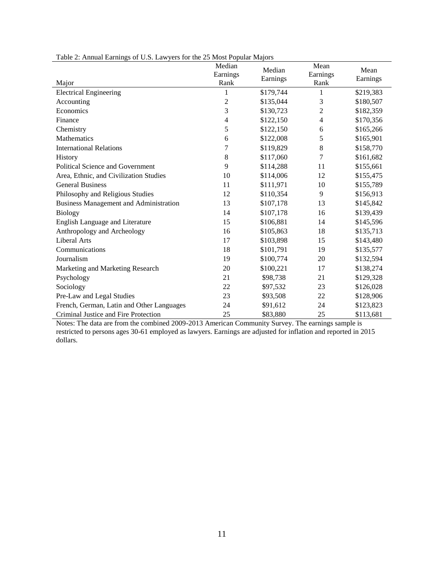| $500$ c.s. Easy for the 25 most repair majors<br>Major | Median<br>Earnings<br>Rank | Median<br>Earnings | Mean<br>Earnings<br>Rank | Mean<br>Earnings |
|--------------------------------------------------------|----------------------------|--------------------|--------------------------|------------------|
| <b>Electrical Engineering</b>                          | 1                          | \$179,744          | 1                        | \$219,383        |
| Accounting                                             | $\overline{c}$             | \$135,044          | 3                        | \$180,507        |
| Economics                                              | 3                          | \$130,723          | $\overline{2}$           | \$182,359        |
| Finance                                                | 4                          | \$122,150          | $\overline{4}$           | \$170,356        |
| Chemistry                                              | 5                          | \$122,150          | 6                        | \$165,266        |
| Mathematics                                            | 6                          | \$122,008          | 5                        | \$165,901        |
| <b>International Relations</b>                         | 7                          | \$119,829          | 8                        | \$158,770        |
| History                                                | $\,8\,$                    | \$117,060          | 7                        | \$161,682        |
| <b>Political Science and Government</b>                | 9                          | \$114,288          | 11                       | \$155,661        |
| Area, Ethnic, and Civilization Studies                 | 10                         | \$114,006          | 12                       | \$155,475        |
| <b>General Business</b>                                | 11                         | \$111,971          | 10                       | \$155,789        |
| Philosophy and Religious Studies                       | 12                         | \$110,354          | 9                        | \$156,913        |
| <b>Business Management and Administration</b>          | 13                         | \$107,178          | 13                       | \$145,842        |
| <b>Biology</b>                                         | 14                         | \$107,178          | 16                       | \$139,439        |
| <b>English Language and Literature</b>                 | 15                         | \$106,881          | 14                       | \$145,596        |
| Anthropology and Archeology                            | 16                         | \$105,863          | 18                       | \$135,713        |
| <b>Liberal Arts</b>                                    | 17                         | \$103,898          | 15                       | \$143,480        |
| Communications                                         | 18                         | \$101,791          | 19                       | \$135,577        |
| Journalism                                             | 19                         | \$100,774          | 20                       | \$132,594        |
| Marketing and Marketing Research                       | 20                         | \$100,221          | 17                       | \$138,274        |
| Psychology                                             | 21                         | \$98,738           | 21                       | \$129,328        |
| Sociology                                              | $22\,$                     | \$97,532           | 23                       | \$126,028        |
| Pre-Law and Legal Studies                              | 23                         | \$93,508           | 22                       | \$128,906        |
| French, German, Latin and Other Languages              | 24                         | \$91,612           | 24                       | \$123,823        |
| Criminal Justice and Fire Protection                   | 25                         | \$83,880           | 25                       | \$113,681        |

| Table 2: Annual Earnings of U.S. Lawyers for the 25 Most Popular Majors |  |  |
|-------------------------------------------------------------------------|--|--|
|                                                                         |  |  |

Notes: The data are from the combined 2009-2013 American Community Survey. The earnings sample is restricted to persons ages 30-61 employed as lawyers. Earnings are adjusted for inflation and reported in 2015 dollars.